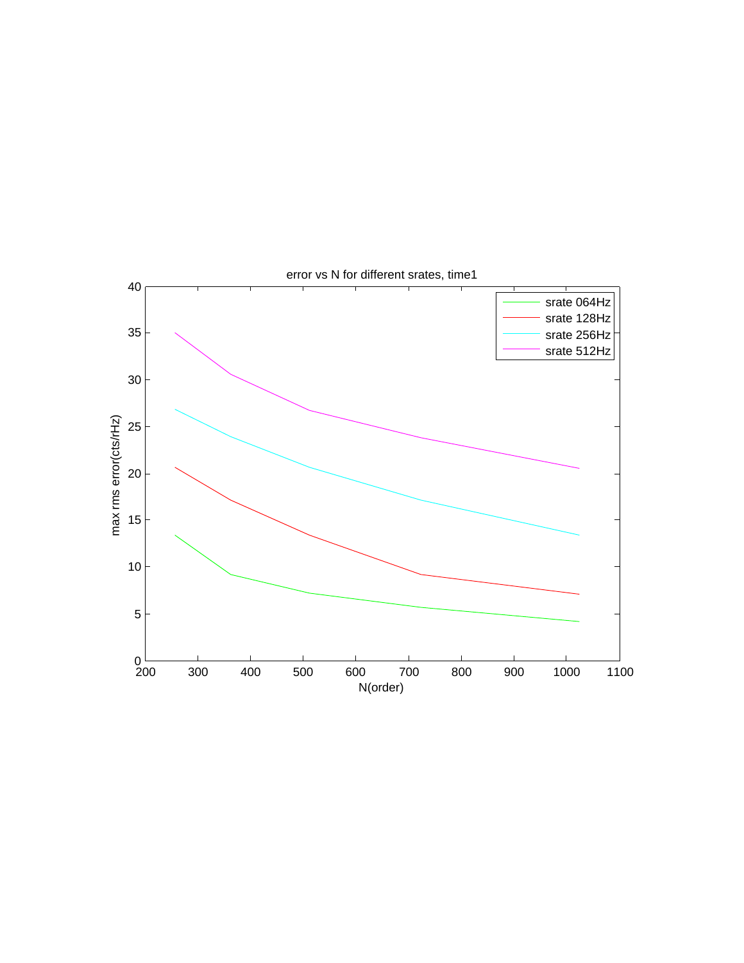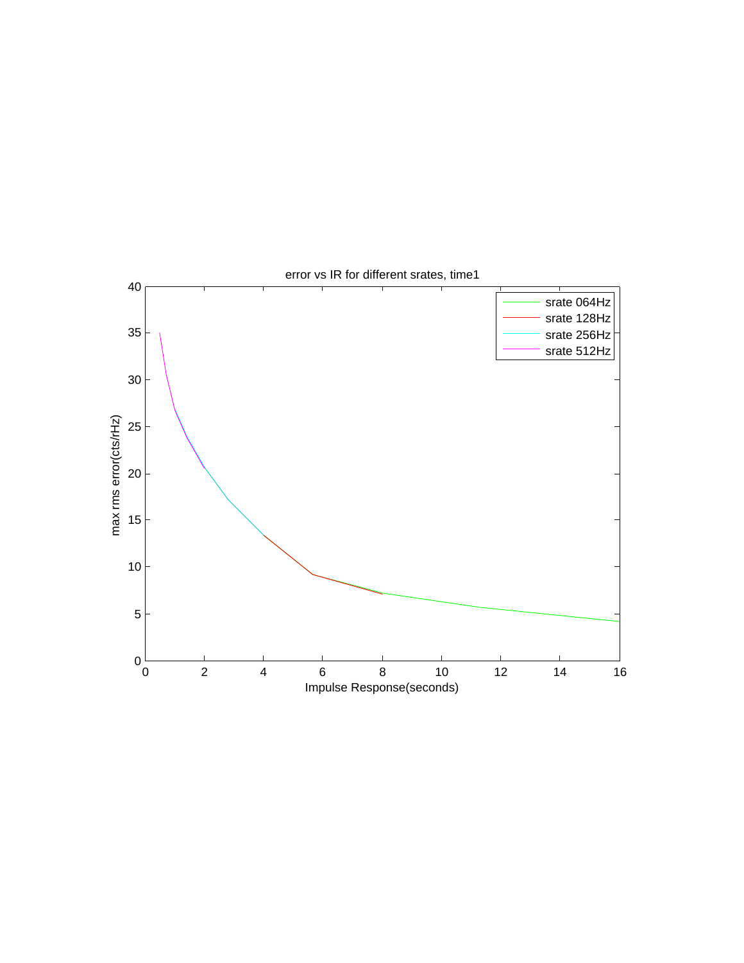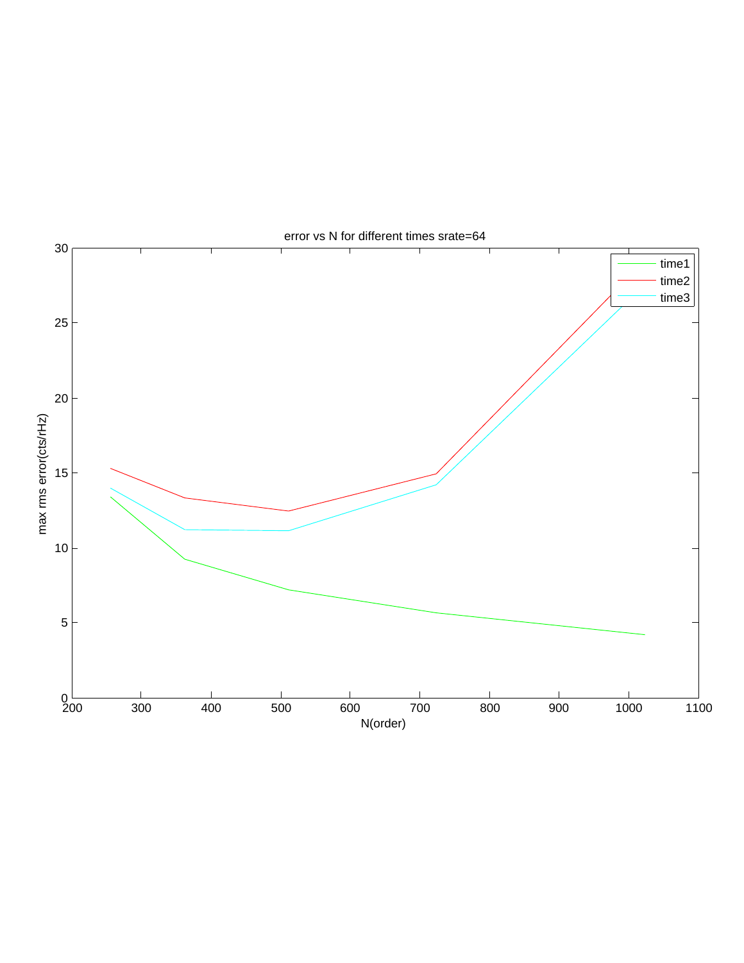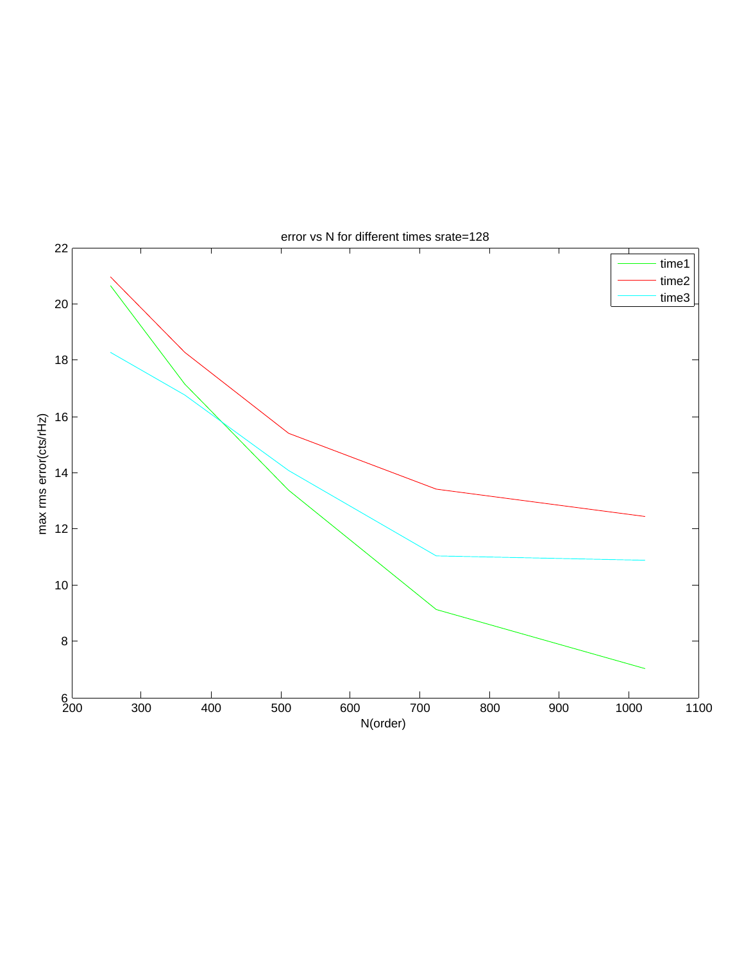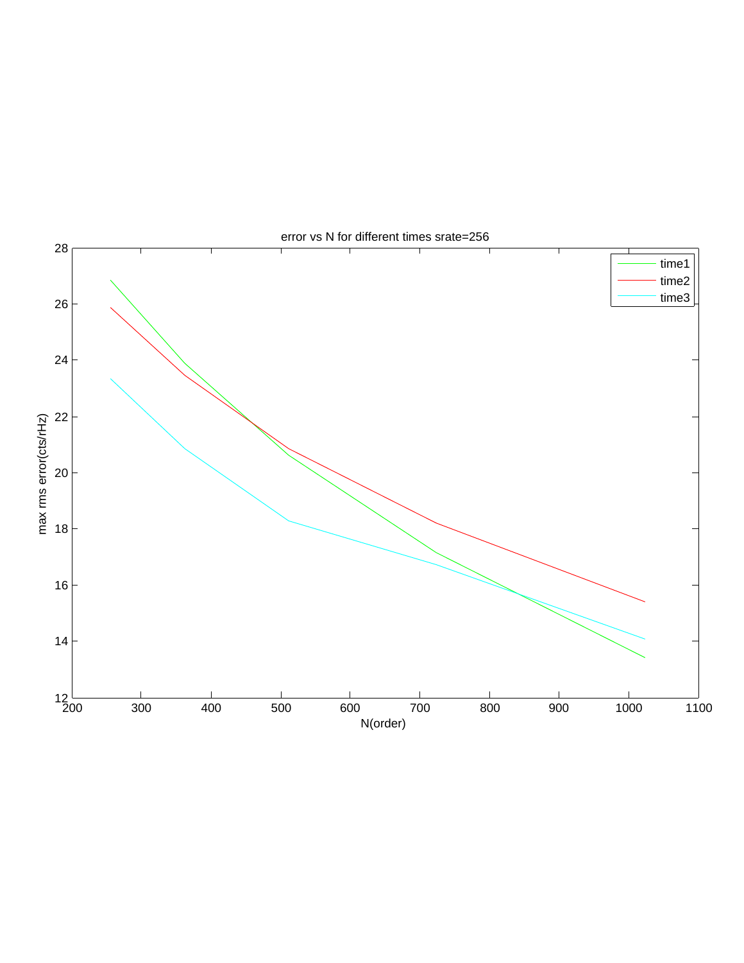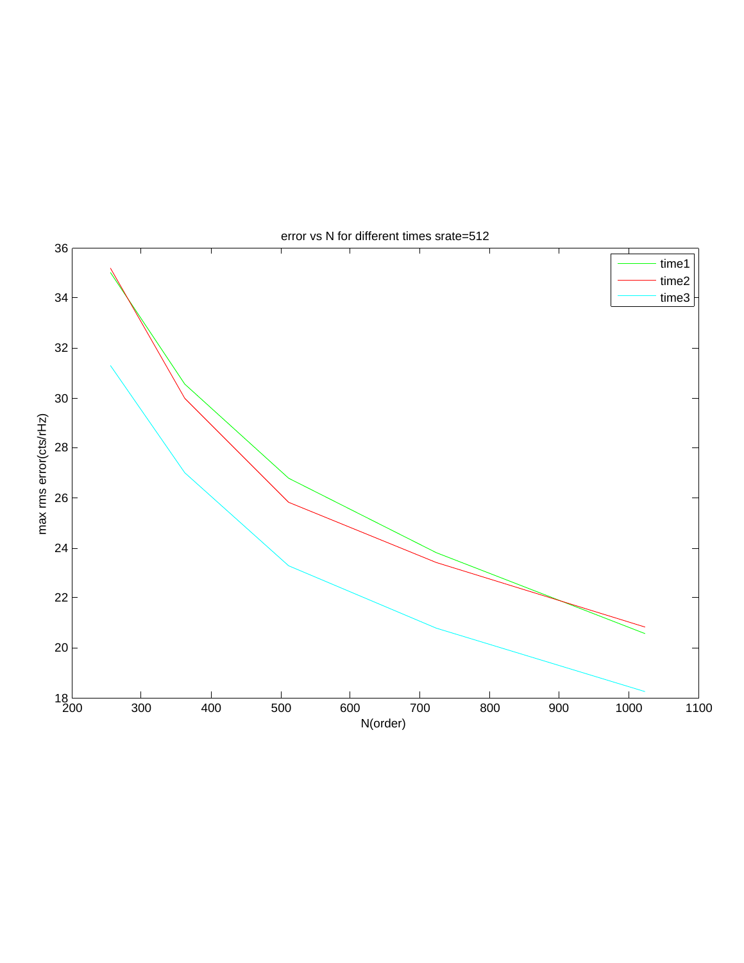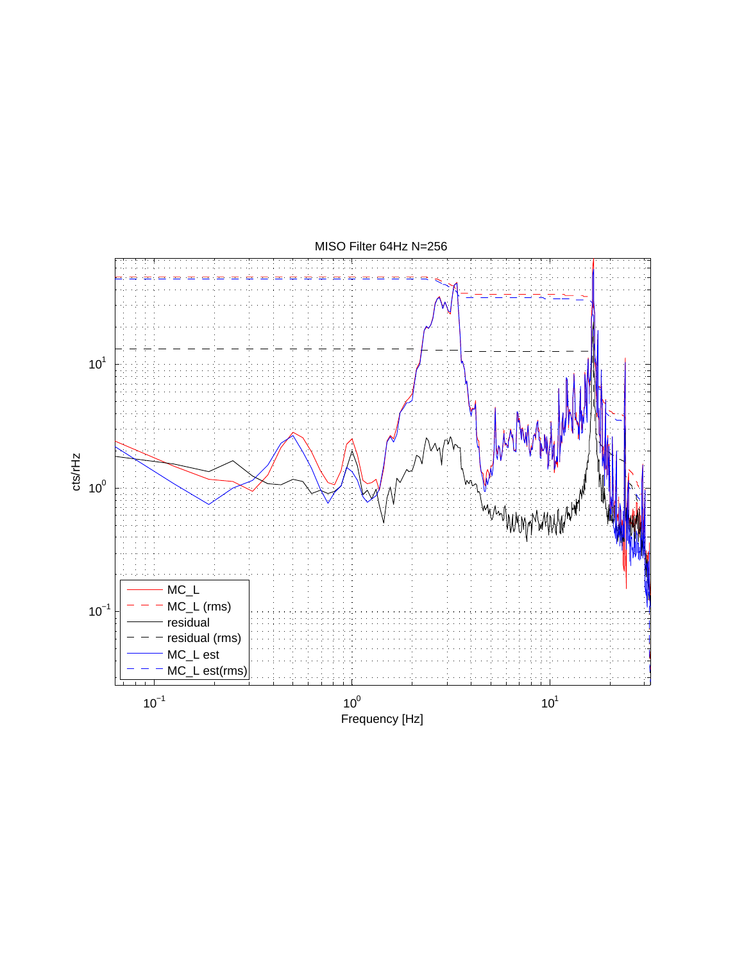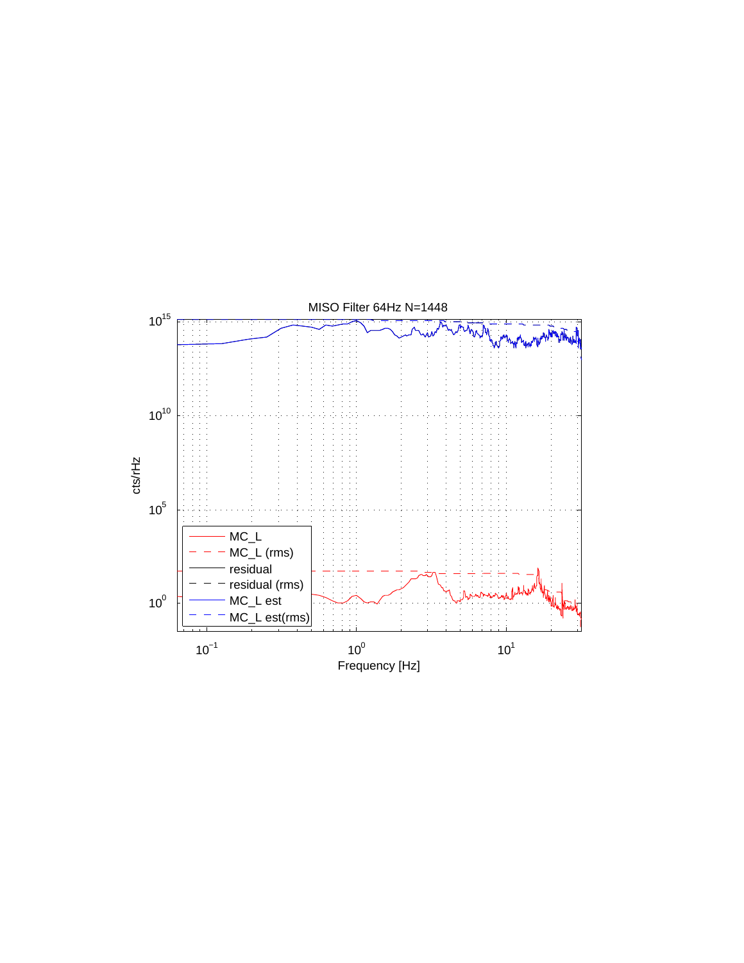